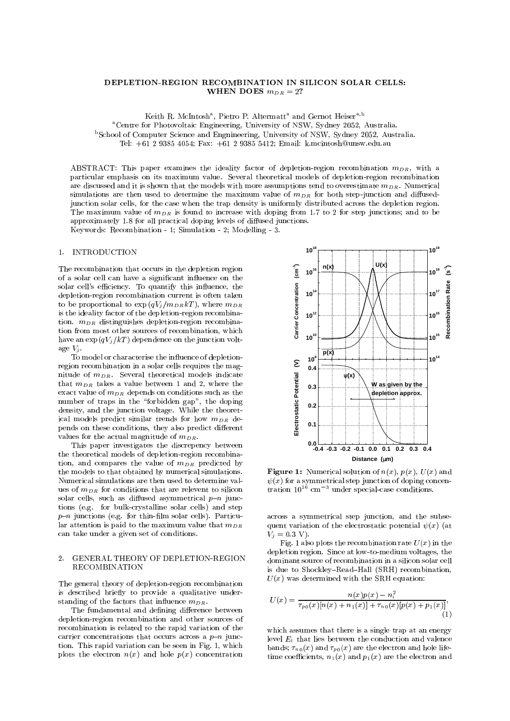# WHEN DOES  $m_{DR} = 2$ ?

Keith R. McIntosh", Pietro P. Altermatt" and Gernot Heiser<sup>-79</sup> aCentre for Photovoltaic Engineering, University of NSW, Sydney 2052, Australia. <sup>b</sup>School of Computer Science and Engnineering, University of NSW, Sydney 2052, Australia.

Tel: +61 2 9385 4054; Fax: +61 2 9385 5412; Email: k.mcintosh@unsw.edu.au

ABSTRACT: This paper examines the ideality factor of depletion-region recombination  $m_{DR}$ , with a particular emphasis on its maximum value. Several theoretical models of depletion-region recombination are discussed and it is shown that the models with more assumptions tend to overestimate  $m_{DR}$ . Numerical simulations are then used to determine the maximum value of  $m_{DR}$  for both step-junction and diffusedjunction solar cells, for the case when the trap density is uniformly distributed across the depletion region. The maximum value of  $m_{DR}$  is found to increase with doping from 1.7 to 2 for step junctions; and to be approximately 1.8 for all practical doping levels of diffused junctions.

Keywords: Recombination - 1; Simulation - 2; Modelling - 3.

### $1<sub>1</sub>$ 1. INTRODUCTION

The recombination that occurs in the depletion region of a solar cell can have a signicant in
uence on the solar cell's efficiency. To quantify this influence, the depletion-region recombination current is often taken to be proportional to  $\exp(qV_j/m_{DR}kT)$ , where  $m_{DR}$ is the ideality factor of the depletion-region recombination.  $m_{DR}$  distinguishes depletion-region recombination from most other sources of recombination, which have an  $\exp(qV_j/kT)$  dependence on the junction voltage  $V_j$ .

To model or characterise the influence of depletionregion recombination in a solar cells requires the magnitude of  $m_{DR}$ . Several theoretical models indicate that  $m_{DR}$  takes a value between 1 and 2, where the exact value of  $m_{DR}$  depends on conditions such as the number of traps in the "forbidden gap", the doping density, and the junction voltage. While the theoretical models predict similar trends for how  $m_{DR}$  depends on these conditions, they also predict different values for the actual magnitude of  $m_{DR}$ .

This paper investigates the discrepency between the theoretical models of depletion-region recombination, and compares the value of  $m_{DR}$  predicted by the models to that obtained by numerical simulations. Numerical simulations are then used to determine values of  $m_{DR}$  for conditions that are relevent to silicon solar cells, such as diffused asymmetrical  $p-n$  junctions (e.g. for bulk-crystalline solar cells) and step  $p-n$  junctions (e.g. for thin-film solar cells). Particular attention is paid to the maximum value that  $m_{DR}$ can take under a given set of conditions.

# 2. GENERAL THEORY OF DEPLETION-REGION RECOMBINATION

The general theory of depletion-region recombination is described briefly to provide a qualitative understanding of the factors that influence  $m_{DR}$ .

The fundamental and defining difference between depletion-region recombination and other sources of recombination is related to the rapid variation of the carrier concentrations that occurs across a  $p-n$  junction. This rapid variation can be seen in Fig. 1, which plots the electron  $n(x)$  and hole  $p(x)$  concentration



**Figure 1:** Numerical solution of  $n(x)$ ,  $p(x)$ ,  $U(x)$  and  $\psi(x)$  for a symmetrical step junction of doping concentration  $10^{16}$  cm<sup>-3</sup> under special-case conditions.

across a symmetrical step junction, and the subsequent variation of the electrostatic potential  $\psi(x)$  (at  $V_j = 0.3$  V).

Fig. 1 also plots the recombination rate  $U(x)$  in the depletion region. Since at low-to-medium voltages, the dominant source of recombination in a silicon solar cell is due to Shockley-Read-Hall  $(SRH)$  recombination,  $U(x)$  was determined with the SRH equation:

$$
U(x)=\frac{n(x)p(x)-n_i^2}{\tau_{p0}(x)[n(x)+n_1(x)]+\tau_{n0}(x)[p(x)+p_1(x)]}, \eqno(1)
$$

which assumes that there is a single trap at an energy level  $E_t$  that lies between the conduction and valence bands;  $\tau_{n0}(x)$  and  $\tau_{p0}(x)$  are the electron and hole lifetime coefficients,  $n_1(x)$  and  $p_1(x)$  are the electron and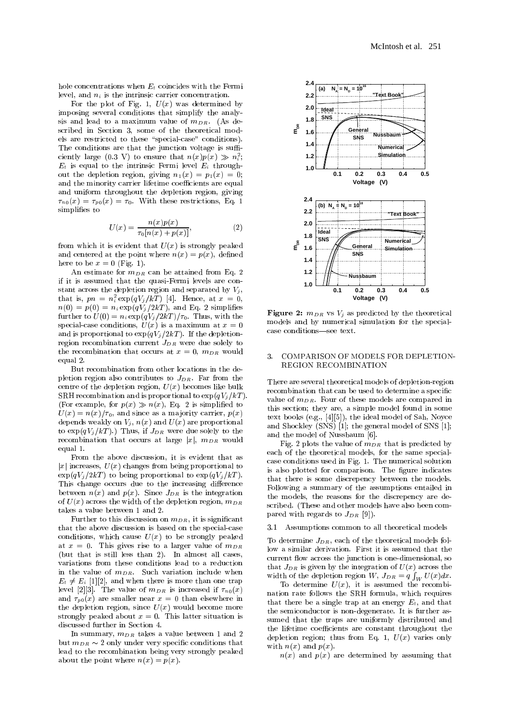hole concentrations when  $E_t$  coincides with the Fermi level, and  $n_i$  is the intrinsic carrier concentration.

For the plot of Fig. 1,  $U(x)$  was determined by imposing several conditions that simplify the analysis and lead to a maximum value of  $m_{DR}$ . (As described in Section 3, some of the theoretical models are restricted to these "special-case" conditions). The conditions are that the junction voltage is sufficiently large (0.3 V) to ensure that  $n(x)p(x) \gg n_{\tilde{i}}$ ;  $E_t$  is equal to the intrinsic Fermi level  $E_i$  throughout the depletion region, giving  $n_1(x) = p_1(x) = 0$ ; and the minority carrier lifetime coefficients are equal and uniform throughout the depletion region, giving  $\tau_{n0}(x) = \tau_{p0}(x) = \tau_0$ . With these restrictions, Eq. 1 simplifies to simplication in the contract of the state of the state of the state of the state of the state of the state of the state of the state of the state of the state of the state of the state of the state of the state of the stat

$$
U(x) = \frac{n(x)p(x)}{\tau_0[n(x) + p(x)]},\tag{2}
$$

from which it is evident that  $U(x)$  is strongly peaked and centered at the point where  $n(x) = p(x)$ , defined here to be  $x = 0$  (Fig. 1).

An estimate for  $m_{DR}$  can be attained from Eq. 2 if it is assumed that the quasi-Fermi levels are con stant across the depletion region and separated by  $V_i$ , that is,  $pn = n_{\bar{i}} \exp(qv_j/\kappa t)$  [4]. Hence, at  $x = 0$ ,  $n(0) = p(0) = n_i \exp(qV_j/2kT)$ , and Eq. 2 simplifies further to  $U(0) = n_i \exp(qV_j/2kT)/\tau_0$ . Thus, with the special-case conditions,  $U(x)$  is a maximum at  $x = 0$ and is proportional to  $\exp(qV_j/2kT)$ . If the depletionregion recombination current  $J_{DR}$  were due solely to the recombination that occurs at  $x = 0$ ,  $m_{DR}$  would equal 2.

But recombination from other locations in the depletion region also contributes to  $J_{DR}$ . Far from the centre of the depletion region,  $U(x)$  becomes like bulk SRH recombination and is proportional to  $\exp(qV_i/kT)$ . (For example, for  $p(x) \gg n(x)$ , Eq. 2 is simplified to  $U(x) = n(x)/\tau_0$ , and since as a majority carrier,  $p(x)$ depends weakly on  $V_j$ ,  $n(x)$  and  $U(x)$  are proportional to  $\exp(qV_i/kT)$ .) Thus, if  $J_{DR}$  were due solely to the recombination that occurs at large  $|x|$ ,  $m_{DR}$  would equal 1.

From the above discussion, it is evident that as  $|x|$  increases,  $U(x)$  changes from being proportional to  $\exp(qV_i/2kT)$  to being proportional to  $\exp(qV_i/kT)$ . This change occurs due to the increasing difference between  $n(x)$  and  $p(x)$ . Since  $J_{DR}$  is the integration of  $U(x)$  across the width of the depletion region,  $m_{DR}$ takes a value between 1 and 2.

Further to this discussion on  $m_{DR}$ , it is significant that the above discussion is based on the special-case conditions, which cause  $U(x)$  to be strongly peaked at  $x = 0$ . This gives rise to a larger value of  $m_{DR}$ (but that is still less than 2). In almost all cases, variations from these conditions lead to a reduction in the value of  $m_{DR}$ . Such variation include when  $E_{\rm{eff}}$  , and  $E_{\rm{eff}}$  and when there is more than one transformation on the trap one trap on the trap of the trap of the trap of the trap of the trap of the trap of the trap of the trap of the trap of the trap of the . The value of  $\alpha$  is increased if  $\alpha$  is increased if  $\alpha$  is increased if  $\alpha$ and  $\tau_{p0}(x)$  are smaller near  $x = 0$  than elsewhere in the depletion region, since  $U(x)$  would become more strongly peaked about  $x = 0$ . This latter situation is discussed further in Section 4.

In summary,  $m_{DR}$  takes a value between 1 and 2 but  $m_{DR} \sim 2$  only under very specific conditions that lead to the recombination being very strongly peaked about the point where  $n(x) = p(x)$ .



Figure 2:  $m_{DR}$  vs  $V_j$  as predicted by the theoretical models and by numerical simulation for the specialcase conditions-see text.

# 3. COMPARISON OF MODELS FOR DEPLETION-REGION RECOMBINATION

There are several theoretical models of depletion-region recombination that can be used to determine a specific value of  $m_{DR}$ . Four of these models are compared in this section; they are, a simple model found in some text books (e.g., [4][5]), the ideal model of Sah, Noyce and Shockley  $(SNS)$  [1]; the general model of SNS [1]; and the model of Nussbaum [6].

Fig. 2 plots the value of  $m_{DR}$  that is predicted by each of the theoretical models, for the same specialcase conditions used in Fig. 1. The numerical solution is also plotted for comparison. The figure indicates that there is some discrepency between the models. Following a summary of the assumptions entailed in the models, the reasons for the discrepency are described. (These and other models have also been compared with regards to  $J_{DR}$  [9]).

3.1 Assumptions common to all theoretical models

To determine  $J_{DR}$ , each of the theoretical models follow a similar derivation. First it is assumed that the current flow across the junction is one-dimensional, so that  $J_{DR}$  is given by the integration of  $U(x)$  across the width of the depletion region W,  $J_{DR} = q \int_W U(x) dx$ .

To determine  $U(x)$ , it is assumed the recombination rate follows the SRH formula, which requires that there be a single trap at an energy  $E_t$ , and that the semiconductor is non-degenerate. It is further assumed that the traps are uniformly distributed and the lifetime coefficients are constant throughout the depletion region; thus from Eq. 1,  $U(x)$  varies only with  $n(x)$  and  $p(x)$ .

 $n(x)$  and  $p(x)$  are determined by assuming that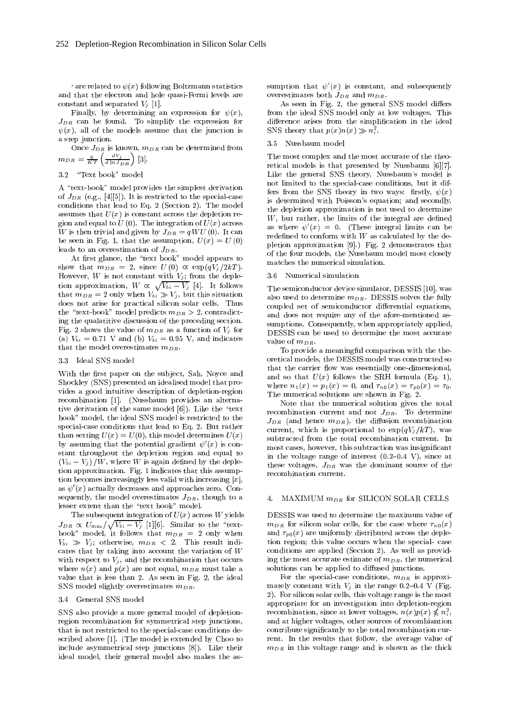the related to  $\psi(x)$  following Boltzmann statistics and that the electron and hole quasi-Fermi levels are constant and separated  $V_j$  [1].

Finally, by determining an expression for  $\psi(x)$ ,  $J_{DR}$  can be found. To simplify the expression for  $\psi(x)$ , all of the models assume that the junction is a step junction.

 $m_{DR} = \frac{q}{KT} \left( \frac{dV_j}{d \ln J_{DR}} \right)$  [3]. The most is also motion more motion motion

# 3.2 "Text book" model

A "text-book" model provides the simplest derivation of  $J_{DR}$  (e.g., [4][5]). It is restricted to the special-case conditions that lead to Eq. 2 (Section 2). The model assumes that  $U(x)$  is constant across the depletion region and equal to  $U(0)$ . The integration of  $U(x)$  across W is then trivial and given by  $J_{DR} = qWU(0)$ . It can be seen in Fig. 1, that the assumption,  $U(x) = U(0)$ leads to an overestimation of JDR.

At the state of the state book  $\mathbb{P}$  . The state book  $\mathbb{P}$  model appears to the state book  $\mathbb{P}$ show that  $m_{DR} = 2$ , since  $U(0) \propto \exp(qV_i/2kT)$ . However, W is not constant with  $V_j$ ; from the depletion approximation,  $W \propto \sqrt{V_{bi} - V_i}$  [4]. It follows that  $m_{DR} = 2$  only when  $V_{bi} \gg V_j$ , but this situation does not arise for practical silicon solar cells. Thus the "text-book" model predicts  $m_{DR} > 2$ , contradicting the qualatitive discussion of the preceding section. Fig. 2 shows the value of  $m_{DR}$  as a function of  $V_j$  for (a)  $V_{bi} = 0.71$  V and (b)  $V_{bi} = 0.95$  V, and indicates that the model overestimates  $m_{DR}$ .

# 3.3 Ideal SNS model

With the first paper on the subject, Sah, Noyce and Shockley (SNS) presented an idealised model that provides a good intuitive description of depletion-region recombination [1]. (Nussbaum provides an alternative derivation of the same model  $[6]$ ). Like the "text" book" model, the ideal SNS model is restricted to the special-case conditions that lead to Eq. 2. But rather than setting  $U(x) = U(0)$ , this model determines  $U(x)$ by assuming that the potential gradient  $\psi'(x)$  is constant throughout the depletion region and equal to  $(V_{bi} - V_j) / W$ , where W is again defined by the depletion approximation. Fig. 1 indicates that this assumption becomes increasingly less valid with increasing  $|x|$ , as  $\psi'(x)$  actually decreases and approaches zero. Consequently, the model overestimates  $J_{DR}$ , though to a  $\qquad 4$ . lesser extent than the "text book" model.

The subsequent integration of  $U(\boldsymbol{x})$  across  $W$  yields  $J_{DR} \propto U_{\text{max}}/\sqrt{V_{bi} - V_i}$  [1][6]. Similar to the "text- $\mathcal{P}$  and  $\mathcal{P}$  are  $\mathcal{P}$  . It follows that maps in the  $\mathcal{P}$  are  $\mathcal{P}$  and  $\mathcal{P}$  $\mathcal{L}_{\mathcal{D}}$  , and  $\mathcal{L}_{\mathcal{D}}$  is result in the  $\mathcal{D}_{\mathcal{D}}$  . This result is result in the sum of  $\mathcal{D}_{\mathcal{D}}$ cates that by taking into account the variation of <sup>W</sup> with respect to  $V_i$ , and the recombination that occurs where  $n(x)$  and  $p(x)$  are not equal,  $m_{DR}$  must take a value that is less than 2. As seen in Fig. 2, the ideal SNS model slightly overestimates  $m_{DR}$ .

## 3.4 General SNS model

SNS also provide a more general model of depletionregion recombination for symmetrical step junctions, that is not restricted to the special-case conditions described above [1]. (The model is extended by Choo to include asymmetrical step junctions [8]). Like their ideal model, their general model also makes the assumption that  $\psi'(x)$  is constant, and subsequently overestimates both  $J_{DR}$  and  $m_{DR}$ .

As seen in Fig. 2, the general SNS model differs from the ideal SNS model only at low voltages. This difference arises from the simplification in the ideal SNS theory that  $p(x)n(x) \gg n_{\overline{i}}$ .

## 3.5 Nussbaum model

The most complex and the most accurate of the theoretical models is that presented by Nussbaum [6][7]. Like the general SNS theory, Nussbaum's model is not limited to the special-case conditions, but it differs from the SNS theory in two ways: firstly,  $\psi(x)$ is determined with Poisson's equation; and secondly, the depletion approximation is not used to determine  $W$ , but rather, the limits of the integral are defined as where  $\psi'(x) = 0$ . (These integral limits can be redefined to conform with  $W$  as calculated by the depletion approximation [9].) Fig. 2 demonstrates that of the four models, the Nussbaum model most closely matches the numerical simulation.

#### 3.6 3.6 Numerical simulation

The semiconductor device simulator, DESSIS [10], was also used to determine  $m_{DR}$ . DESSIS solves the fully coupled set of semiconductor differential equations, and does not require any of the afore-mentioned assumptions. Consequently, when appropriately applied, DESSIS can be used to determine the most accurate value of monocology and a series of the material or other contracts.

To provide a meaningful comparison with the theoretical models, the DESSIS model was constructed so that the carrier flow was essentially one-dimensional, and so that  $U(x)$  follows the SRH formula (Eq. 1), where  $n_1(x) = p_1(x) = 0$ , and  $\tau_{n0}(x) = \tau_{p0}(x) = \tau_0$ . The numerical solutions are shown in Fig. 2.

Note that the numerical solution gives the total recombination current and not  $J_{DR}$ . To determine  $J_{DR}$  (and hence  $m_{DR}$ ), the diffusion recombination current, which is proportional to  $\exp(qV_i/kT)$ , was subtracted from the total recombination current. In most cases, however, this subtraction was insignicant in the voltage range of interest  $(0.2{-}0.4 \text{ V})$ , since at these voltages,  $J_{DR}$  was the dominant source of the

# $\textsc{MAXIMUM}\ m_{DR}$  for SILICON SOLAR CELLS

DESSIS was used to determine the maximum value of  $m_{DR}$  for silicon solar cells, for the case where  $\tau_{n0}(x)$ and  $\tau_{p0}(x)$  are uniformly distributed across the depletion region; this value occurs when the special- case conditions are applied (Section 2). As well as providing the most accurate estimate of  $m_{DR}$ , the numerical solutions can be applied to diffused junctions.

For the special-case conditions,  $m_{DR}$  is approximately constant with  $V_i$  in the range 0.2-0.4 V (Fig. 2). For silicon solar cells, this voltage range is the most appropriate for an investigation into depletion-region recombination, since at lower voltages,  $n(x)p(x)\not\leqslant n_{\bar{i}}^-,$ and at higher voltages, other sources of recombiantion contribute signicantly to the total recombination cur rent. In the results that follow, the average value of  $m_{DR}$  in this voltage range and is shown as the thick